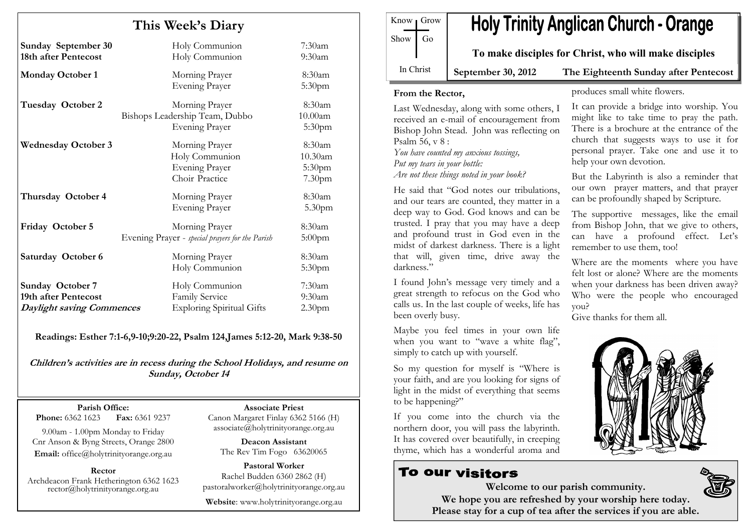| This Week's Diary                                                                   |                                                                             |                                                   |  |  |
|-------------------------------------------------------------------------------------|-----------------------------------------------------------------------------|---------------------------------------------------|--|--|
| <b>Sunday September 30</b><br>18th after Pentecost                                  | Holy Communion<br>Holy Communion                                            | $7:30$ am<br>$9:30$ am                            |  |  |
| <b>Monday October 1</b>                                                             | Morning Prayer<br><b>Evening Prayer</b>                                     | 8:30am<br>5:30pm                                  |  |  |
| Tuesday October 2                                                                   | Morning Prayer<br>Bishops Leadership Team, Dubbo<br><b>Evening Prayer</b>   | 8:30am<br>10.00am<br>5:30 <sub>pm</sub>           |  |  |
| <b>Wednesday October 3</b>                                                          | Morning Prayer<br>Holy Communion<br><b>Evening Prayer</b><br>Choir Practice | 8:30am<br>10.30am<br>5:30pm<br>7.30 <sub>pm</sub> |  |  |
| Thursday October 4                                                                  | Morning Prayer<br><b>Evening Prayer</b>                                     | 8:30am<br>5.30pm                                  |  |  |
| Friday October 5                                                                    | Morning Prayer<br>Evening Prayer - special prayers for the Parish           | 8:30am<br>$5:00$ pm                               |  |  |
| Saturday October 6                                                                  | Morning Prayer<br>Holy Communion                                            | 8:30am<br>5:30 <sub>pm</sub>                      |  |  |
| <b>Sunday October 7</b><br>19th after Pentecost<br><b>Daylight saving Commences</b> | Holy Communion<br>Family Service<br><b>Exploring Spiritual Gifts</b>        | $7:30$ am<br>$9:30$ am<br>2.30 <sub>pm</sub>      |  |  |

Readings: Esther 7:1-6,9-10;9:20-22, Psalm 124,James 5:12-20, Mark 9:38-50

Children's activities are in recess during the School Holidays, and resume on Sunday, October 14

Parish Office: Fax: 6361 9237 **Phone:** 6362 1623

9.00am - 1.00pm Monday to Friday Cnr Anson & Byng Streets, Orange 2800 Email: office@holytrinityorange.org.au

Rector Archdeacon Frank Hetherington 6362 1623 rector@holytrinityorange.org.au

Associate Priest Canon Margaret Finlay 6362 5166 (H) associate@holytrinityorange.org.au

Deacon Assistant The Rev Tim Fogo 63620065

Pastoral Worker Rachel Budden 6360 2862 (H) pastoralworker@holytrinityorange.org.au

Website: www.holytrinityorange.org.au

| $Show$ Go | Know Grow |                                                       | <b>Holy Trinity Anglican Church - Orange</b> |
|-----------|-----------|-------------------------------------------------------|----------------------------------------------|
|           |           | To make disciples for Christ, who will make disciples |                                              |
| In Christ |           | $\mathbf{Contomber}$ 30 $2012$                        | The Fichteonth Sunday ofter Dente            |

September 30, 2012 The Eighteenth Sunday after Pentecost

#### From the Rector,

Last Wednesday, along with some others, I received an e-mail of encouragement from Bishop John Stead. John was reflecting on Psalm 56, v 8 :

 You have counted my anxious tossings, Put my tears in your bottle: Are not these things noted in your book?

He said that "God notes our tribulations, and our tears are counted, they matter in a deep way to God. God knows and can be trusted. I pray that you may have a deep and profound trust in God even in the midst of darkest darkness. There is a light that will, given time, drive away the darkness."

I found John's message very timely and a great strength to refocus on the God who calls us. In the last couple of weeks, life has been overly busy.

Maybe you feel times in your own life when you want to "wave a white flag", simply to catch up with yourself.

So my question for myself is "Where is your faith, and are you looking for signs of light in the midst of everything that seems to be happening?"

If you come into the church via the northern door, you will pass the labyrinth. It has covered over beautifully, in creeping thyme, which has a wonderful aroma and

# To our visitors

produces small white flowers.

It can provide a bridge into worship. You might like to take time to pray the path. There is a brochure at the entrance of the church that suggests ways to use it for personal prayer. Take one and use it to help your own devotion.

But the Labyrinth is also a reminder that our own prayer matters, and that prayer can be profoundly shaped by Scripture.

The supportive messages, like the email from Bishop John, that we give to others, can have a profound effect. Let's remember to use them, too!

Where are the moments where you have felt lost or alone? Where are the moments when your darkness has been driven away? Who were the people who encouraged you?

Give thanks for them all.



Welcome to our parish community. We hope you are refreshed by your worship here today. Please stay for a cup of tea after the services if you are able.